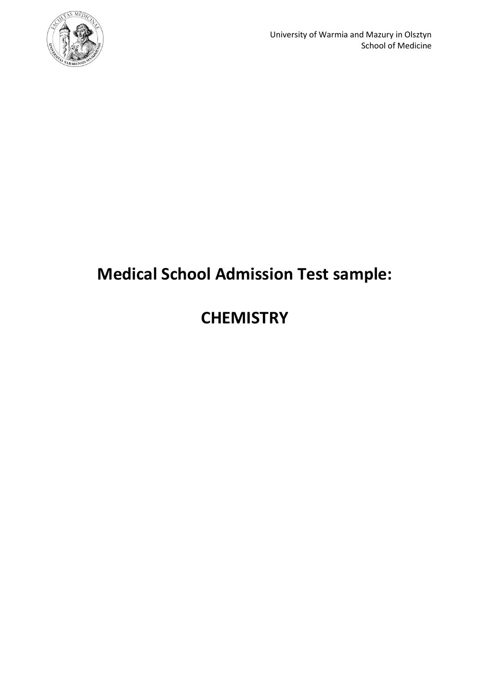

# **Medical School Admission Test sample:**

# **CHEMISTRY**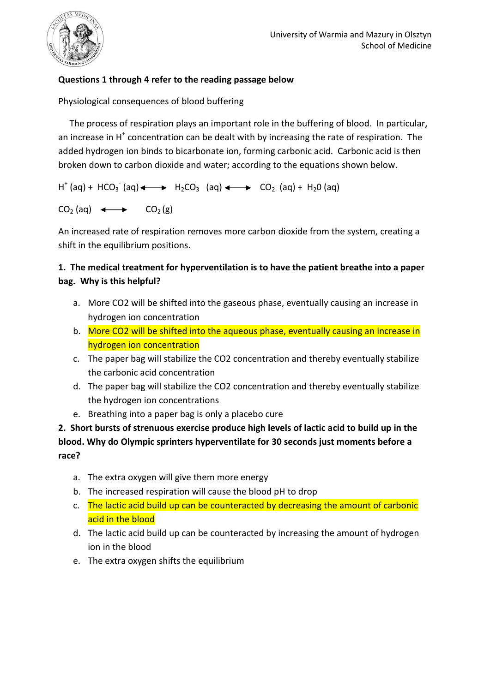

### **Questions 1 through 4 refer to the reading passage below**

Physiological consequences of blood buffering

 The process of respiration plays an important role in the buffering of blood. In particular, an increase in  $H^+$  concentration can be dealt with by increasing the rate of respiration. The added hydrogen ion binds to bicarbonate ion, forming carbonic acid. Carbonic acid is then broken down to carbon dioxide and water; according to the equations shown below.

 $H^+(aq) + HCO_3^-(aq) \longleftrightarrow H_2CO_3$  (aq)  $\longleftrightarrow CO_2$  (aq) + H<sub>2</sub>O (aq)

 $CO<sub>2</sub>(aq) \longleftrightarrow CO<sub>2</sub>(g)$ 

An increased rate of respiration removes more carbon dioxide from the system, creating a shift in the equilibrium positions.

## **1. The medical treatment for hyperventilation is to have the patient breathe into a paper bag. Why is this helpful?**

- a. More CO2 will be shifted into the gaseous phase, eventually causing an increase in hydrogen ion concentration
- b. More CO2 will be shifted into the aqueous phase, eventually causing an increase in hydrogen ion concentration
- c. The paper bag will stabilize the CO2 concentration and thereby eventually stabilize the carbonic acid concentration
- d. The paper bag will stabilize the CO2 concentration and thereby eventually stabilize the hydrogen ion concentrations
- e. Breathing into a paper bag is only a placebo cure

**2. Short bursts of strenuous exercise produce high levels of lactic acid to build up in the blood. Why do Olympic sprinters hyperventilate for 30 seconds just moments before a race?** 

- a. The extra oxygen will give them more energy
- b. The increased respiration will cause the blood pH to drop
- c. The lactic acid build up can be counteracted by decreasing the amount of carbonic acid in the blood
- d. The lactic acid build up can be counteracted by increasing the amount of hydrogen ion in the blood
- e. The extra oxygen shifts the equilibrium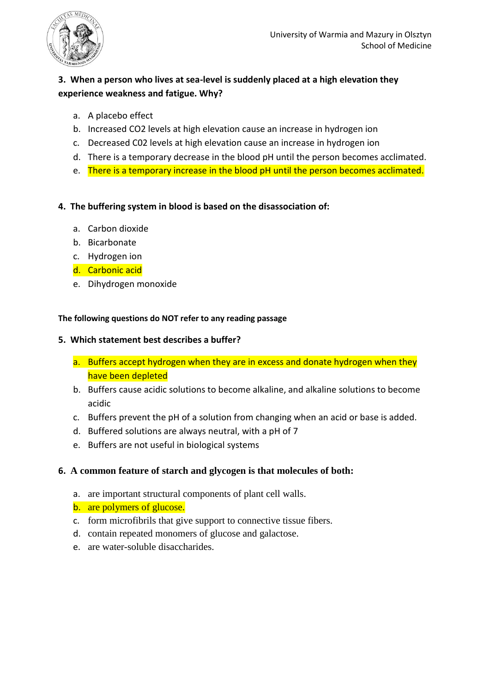

## **3. When a person who lives at sea-level is suddenly placed at a high elevation they experience weakness and fatigue. Why?**

- a. A placebo effect
- b. Increased CO2 levels at high elevation cause an increase in hydrogen ion
- c. Decreased C02 levels at high elevation cause an increase in hydrogen ion
- d. There is a temporary decrease in the blood pH until the person becomes acclimated.
- e. There is a temporary increase in the blood pH until the person becomes acclimated.

#### **4. The buffering system in blood is based on the disassociation of:**

- a. Carbon dioxide
- b. Bicarbonate
- c. Hydrogen ion
- d. Carbonic acid
- e. Dihydrogen monoxide

#### **The following questions do NOT refer to any reading passage**

#### **5. Which statement best describes a buffer?**

- a. Buffers accept hydrogen when they are in excess and donate hydrogen when they have been depleted
- b. Buffers cause acidic solutions to become alkaline, and alkaline solutions to become acidic
- c. Buffers prevent the pH of a solution from changing when an acid or base is added.
- d. Buffered solutions are always neutral, with a pH of 7
- e. Buffers are not useful in biological systems

#### **6. A common feature of starch and glycogen is that molecules of both:**

- a. are important structural components of plant cell walls.
- b. are polymers of glucose.
- c. form microfibrils that give support to connective tissue fibers.
- d. contain repeated monomers of glucose and galactose.
- e. are water-soluble disaccharides.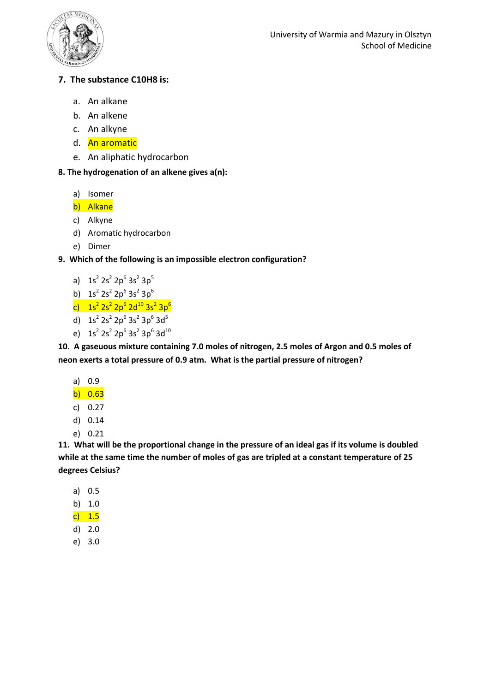

### **7. The substance C10H8 is:**

- a. An alkane
- b. An alkene
- c. An alkyne
- d. An aromatic
- e. An aliphatic hydrocarbon

#### **8. The hydrogenation of an alkene gives a(n):**

- a) Isomer
- b) Alkane
- c) Alkyne
- d) Aromatic hydrocarbon
- e) Dimer

### **9. Which of the following is an impossible electron configuration?**

- a)  $1s^2 2s^2 2p^6 3s^2 3p^5$
- b)  $1s^2 2s^2 2p^6 3s^2 3p^6$
- <mark>c) 1s<sup>2</sup> 2s<sup>2</sup> 2p<sup>6</sup> 2d<sup>10</sup> 3s<sup>2</sup> 3p<sup>6</sup></mark>
- d)  $1s^2 2s^2 2p^6 3s^2 3p^6 3d^5$
- e)  $1s^2 2s^2 2p^6 3s^2 3p^6 3d^{10}$

**10. A gaseuous mixture containing 7.0 moles of nitrogen, 2.5 moles of Argon and 0.5 moles of neon exerts a total pressure of 0.9 atm. What is the partial pressure of nitrogen?**

- a) 0.9
- b) 0.63
- c) 0.27
- d) 0.14
- e) 0.21

**11. What will be the proportional change in the pressure of an ideal gas if its volume is doubled while at the same time the number of moles of gas are tripled at a constant temperature of 25 degrees Celsius?** 

- a) 0.5
- b) 1.0
- c) 1.5
- d) 2.0
- e) 3.0